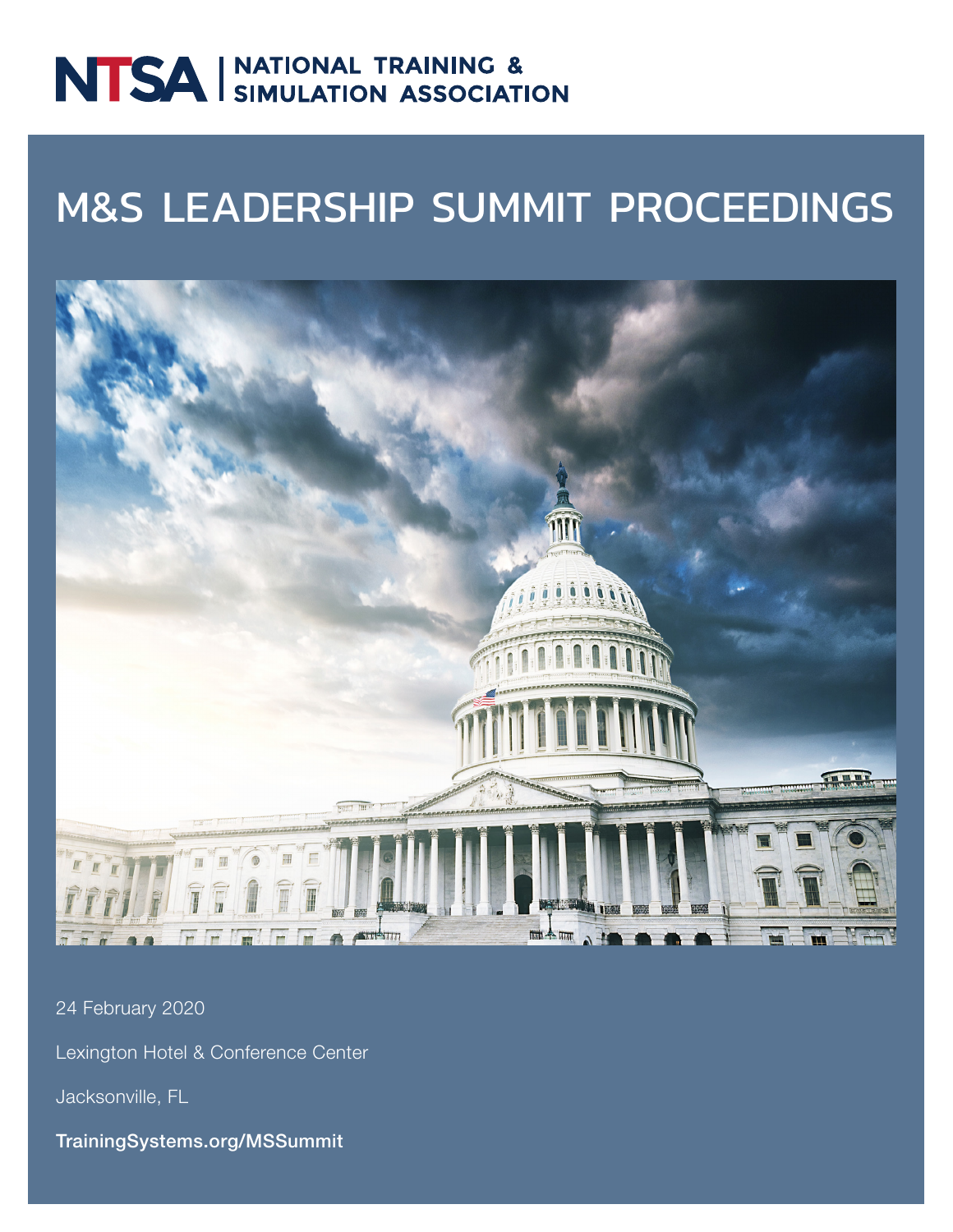# NTSA SIMULATION ASSOCIATION

# M&S LEADERSHIP SUMMIT PROCEEDINGS



24 February 2020

Lexington Hotel & Conference Center

Jacksonville, FL

TrainingSystems.org/MSSummit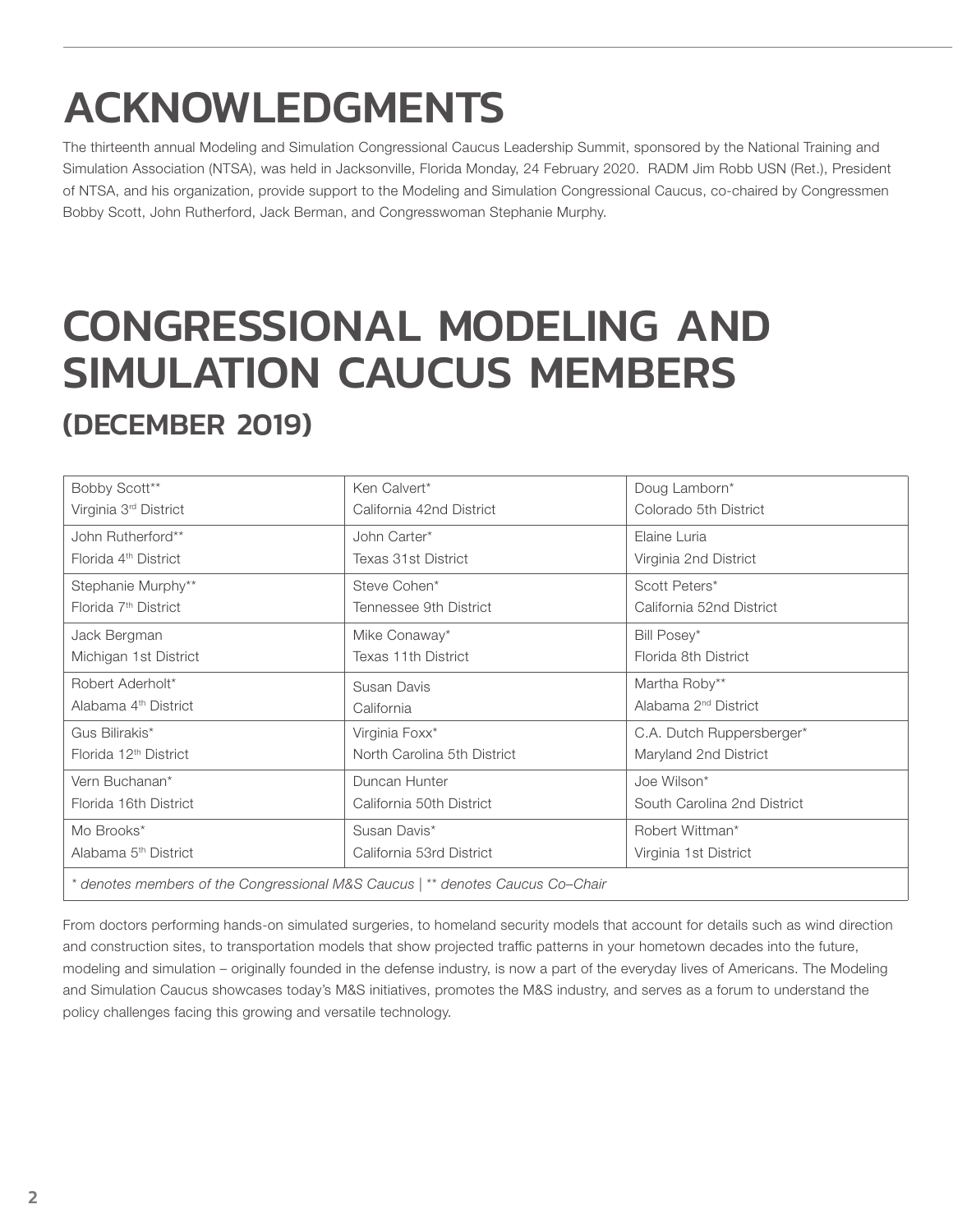# ACKNOWLEDGMENTS

The thirteenth annual Modeling and Simulation Congressional Caucus Leadership Summit, sponsored by the National Training and Simulation Association (NTSA), was held in Jacksonville, Florida Monday, 24 February 2020. RADM Jim Robb USN (Ret.), President of NTSA, and his organization, provide support to the Modeling and Simulation Congressional Caucus, co-chaired by Congressmen Bobby Scott, John Rutherford, Jack Berman, and Congresswoman Stephanie Murphy.

# CONGRESSIONAL MODELING AND SIMULATION CAUCUS MEMBERS (DECEMBER 2019)

| Bobby Scott**                                                                  | Ken Calvert*                | Doug Lamborn*                    |
|--------------------------------------------------------------------------------|-----------------------------|----------------------------------|
| Virginia 3rd District                                                          | California 42nd District    | Colorado 5th District            |
| John Rutherford**                                                              | John Carter*                | Elaine Luria                     |
| Florida 4 <sup>th</sup> District                                               | <b>Texas 31st District</b>  | Virginia 2nd District            |
| Stephanie Murphy**                                                             | Steve Cohen*                | Scott Peters*                    |
| Florida 7 <sup>th</sup> District                                               | Tennessee 9th District      | California 52nd District         |
| Jack Bergman                                                                   | Mike Conaway*               | Bill Posey*                      |
| Michigan 1st District                                                          | <b>Texas 11th District</b>  | Florida 8th District             |
| Robert Aderholt*                                                               | Susan Davis                 | Martha Roby**                    |
| Alabama 4 <sup>th</sup> District                                               | California                  | Alabama 2 <sup>nd</sup> District |
| Gus Bilirakis*                                                                 | Virginia Foxx*              | C.A. Dutch Ruppersberger*        |
| Florida 12 <sup>th</sup> District                                              | North Carolina 5th District | Maryland 2nd District            |
| Vern Buchanan*                                                                 | Duncan Hunter               | Joe Wilson*                      |
| Florida 16th District                                                          | California 50th District    | South Carolina 2nd District      |
| Mo Brooks*                                                                     | Susan Davis*                | Robert Wittman*                  |
| Alabama 5 <sup>th</sup> District                                               | California 53rd District    | Virginia 1st District            |
| * denotes members of the Congressional M&S Caucus   ** denotes Caucus Co–Chair |                             |                                  |

From doctors performing hands-on simulated surgeries, to homeland security models that account for details such as wind direction and construction sites, to transportation models that show projected traffic patterns in your hometown decades into the future, modeling and simulation – originally founded in the defense industry, is now a part of the everyday lives of Americans. The Modeling and Simulation Caucus showcases today's M&S initiatives, promotes the M&S industry, and serves as a forum to understand the policy challenges facing this growing and versatile technology.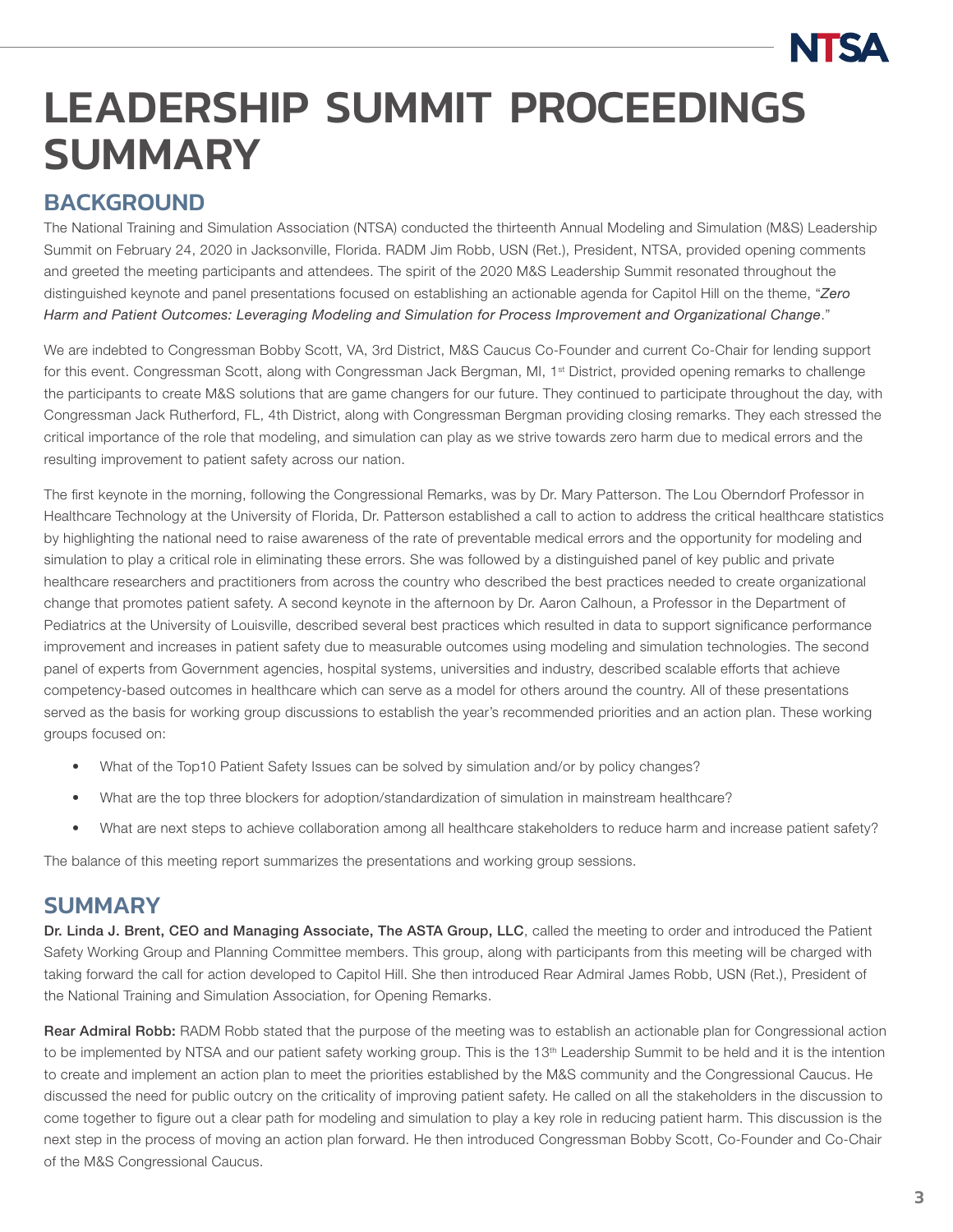# LEADERSHIP SUMMIT PROCEEDINGS **SUMMARY**

# **BACKGROUND**

The National Training and Simulation Association (NTSA) conducted the thirteenth Annual Modeling and Simulation (M&S) Leadership Summit on February 24, 2020 in Jacksonville, Florida. RADM Jim Robb, USN (Ret.), President, NTSA, provided opening comments and greeted the meeting participants and attendees. The spirit of the 2020 M&S Leadership Summit resonated throughout the distinguished keynote and panel presentations focused on establishing an actionable agenda for Capitol Hill on the theme, "*Zero Harm and Patient Outcomes: Leveraging Modeling and Simulation for Process Improvement and Organizational Change*."

We are indebted to Congressman Bobby Scott, VA, 3rd District, M&S Caucus Co-Founder and current Co-Chair for lending support for this event. Congressman Scott, along with Congressman Jack Bergman, MI, 1<sup>st</sup> District, provided opening remarks to challenge the participants to create M&S solutions that are game changers for our future. They continued to participate throughout the day, with Congressman Jack Rutherford, FL, 4th District, along with Congressman Bergman providing closing remarks. They each stressed the critical importance of the role that modeling, and simulation can play as we strive towards zero harm due to medical errors and the resulting improvement to patient safety across our nation.

The first keynote in the morning, following the Congressional Remarks, was by Dr. Mary Patterson. The Lou Oberndorf Professor in Healthcare Technology at the University of Florida, Dr. Patterson established a call to action to address the critical healthcare statistics by highlighting the national need to raise awareness of the rate of preventable medical errors and the opportunity for modeling and simulation to play a critical role in eliminating these errors. She was followed by a distinguished panel of key public and private healthcare researchers and practitioners from across the country who described the best practices needed to create organizational change that promotes patient safety. A second keynote in the afternoon by Dr. Aaron Calhoun, a Professor in the Department of Pediatrics at the University of Louisville, described several best practices which resulted in data to support significance performance improvement and increases in patient safety due to measurable outcomes using modeling and simulation technologies. The second panel of experts from Government agencies, hospital systems, universities and industry, described scalable efforts that achieve competency-based outcomes in healthcare which can serve as a model for others around the country. All of these presentations served as the basis for working group discussions to establish the year's recommended priorities and an action plan. These working groups focused on:

- What of the Top10 Patient Safety Issues can be solved by simulation and/or by policy changes?
- What are the top three blockers for adoption/standardization of simulation in mainstream healthcare?
- What are next steps to achieve collaboration among all healthcare stakeholders to reduce harm and increase patient safety?

The balance of this meeting report summarizes the presentations and working group sessions.

## **SUMMARY**

Dr. Linda J. Brent, CEO and Managing Associate, The ASTA Group, LLC, called the meeting to order and introduced the Patient Safety Working Group and Planning Committee members. This group, along with participants from this meeting will be charged with taking forward the call for action developed to Capitol Hill. She then introduced Rear Admiral James Robb, USN (Ret.), President of the National Training and Simulation Association, for Opening Remarks.

Rear Admiral Robb: RADM Robb stated that the purpose of the meeting was to establish an actionable plan for Congressional action to be implemented by NTSA and our patient safety working group. This is the 13<sup>th</sup> Leadership Summit to be held and it is the intention to create and implement an action plan to meet the priorities established by the M&S community and the Congressional Caucus. He discussed the need for public outcry on the criticality of improving patient safety. He called on all the stakeholders in the discussion to come together to figure out a clear path for modeling and simulation to play a key role in reducing patient harm. This discussion is the next step in the process of moving an action plan forward. He then introduced Congressman Bobby Scott, Co-Founder and Co-Chair of the M&S Congressional Caucus.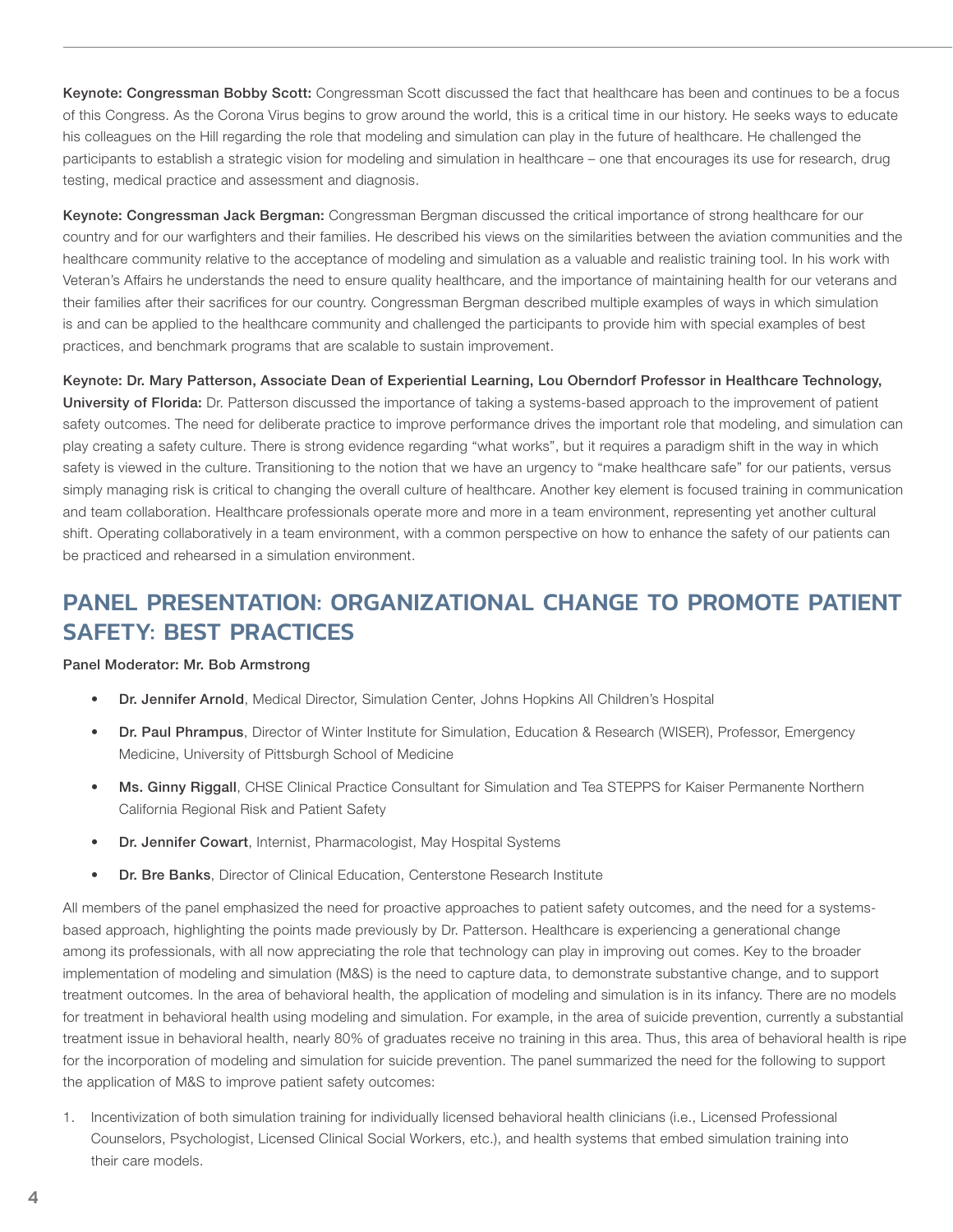Keynote: Congressman Bobby Scott: Congressman Scott discussed the fact that healthcare has been and continues to be a focus of this Congress. As the Corona Virus begins to grow around the world, this is a critical time in our history. He seeks ways to educate his colleagues on the Hill regarding the role that modeling and simulation can play in the future of healthcare. He challenged the participants to establish a strategic vision for modeling and simulation in healthcare – one that encourages its use for research, drug testing, medical practice and assessment and diagnosis.

Keynote: Congressman Jack Bergman: Congressman Bergman discussed the critical importance of strong healthcare for our country and for our warfighters and their families. He described his views on the similarities between the aviation communities and the healthcare community relative to the acceptance of modeling and simulation as a valuable and realistic training tool. In his work with Veteran's Affairs he understands the need to ensure quality healthcare, and the importance of maintaining health for our veterans and their families after their sacrifices for our country. Congressman Bergman described multiple examples of ways in which simulation is and can be applied to the healthcare community and challenged the participants to provide him with special examples of best practices, and benchmark programs that are scalable to sustain improvement.

Keynote: Dr. Mary Patterson, Associate Dean of Experiential Learning, Lou Oberndorf Professor in Healthcare Technology, University of Florida: Dr. Patterson discussed the importance of taking a systems-based approach to the improvement of patient safety outcomes. The need for deliberate practice to improve performance drives the important role that modeling, and simulation can play creating a safety culture. There is strong evidence regarding "what works", but it requires a paradigm shift in the way in which safety is viewed in the culture. Transitioning to the notion that we have an urgency to "make healthcare safe" for our patients, versus simply managing risk is critical to changing the overall culture of healthcare. Another key element is focused training in communication and team collaboration. Healthcare professionals operate more and more in a team environment, representing yet another cultural shift. Operating collaboratively in a team environment, with a common perspective on how to enhance the safety of our patients can be practiced and rehearsed in a simulation environment.

# PANEL PRESENTATION: ORGANIZATIONAL CHANGE TO PROMOTE PATIENT SAFETY: BEST PRACTICES

#### Panel Moderator: Mr. Bob Armstrong

- Dr. Jennifer Arnold, Medical Director, Simulation Center, Johns Hopkins All Children's Hospital
- Dr. Paul Phrampus, Director of Winter Institute for Simulation, Education & Research (WISER), Professor, Emergency Medicine, University of Pittsburgh School of Medicine
- Ms. Ginny Riggall, CHSE Clinical Practice Consultant for Simulation and Tea STEPPS for Kaiser Permanente Northern California Regional Risk and Patient Safety
- Dr. Jennifer Cowart, Internist, Pharmacologist, May Hospital Systems
- Dr. Bre Banks, Director of Clinical Education, Centerstone Research Institute

All members of the panel emphasized the need for proactive approaches to patient safety outcomes, and the need for a systemsbased approach, highlighting the points made previously by Dr. Patterson. Healthcare is experiencing a generational change among its professionals, with all now appreciating the role that technology can play in improving out comes. Key to the broader implementation of modeling and simulation (M&S) is the need to capture data, to demonstrate substantive change, and to support treatment outcomes. In the area of behavioral health, the application of modeling and simulation is in its infancy. There are no models for treatment in behavioral health using modeling and simulation. For example, in the area of suicide prevention, currently a substantial treatment issue in behavioral health, nearly 80% of graduates receive no training in this area. Thus, this area of behavioral health is ripe for the incorporation of modeling and simulation for suicide prevention. The panel summarized the need for the following to support the application of M&S to improve patient safety outcomes:

1. Incentivization of both simulation training for individually licensed behavioral health clinicians (i.e., Licensed Professional Counselors, Psychologist, Licensed Clinical Social Workers, etc.), and health systems that embed simulation training into their care models.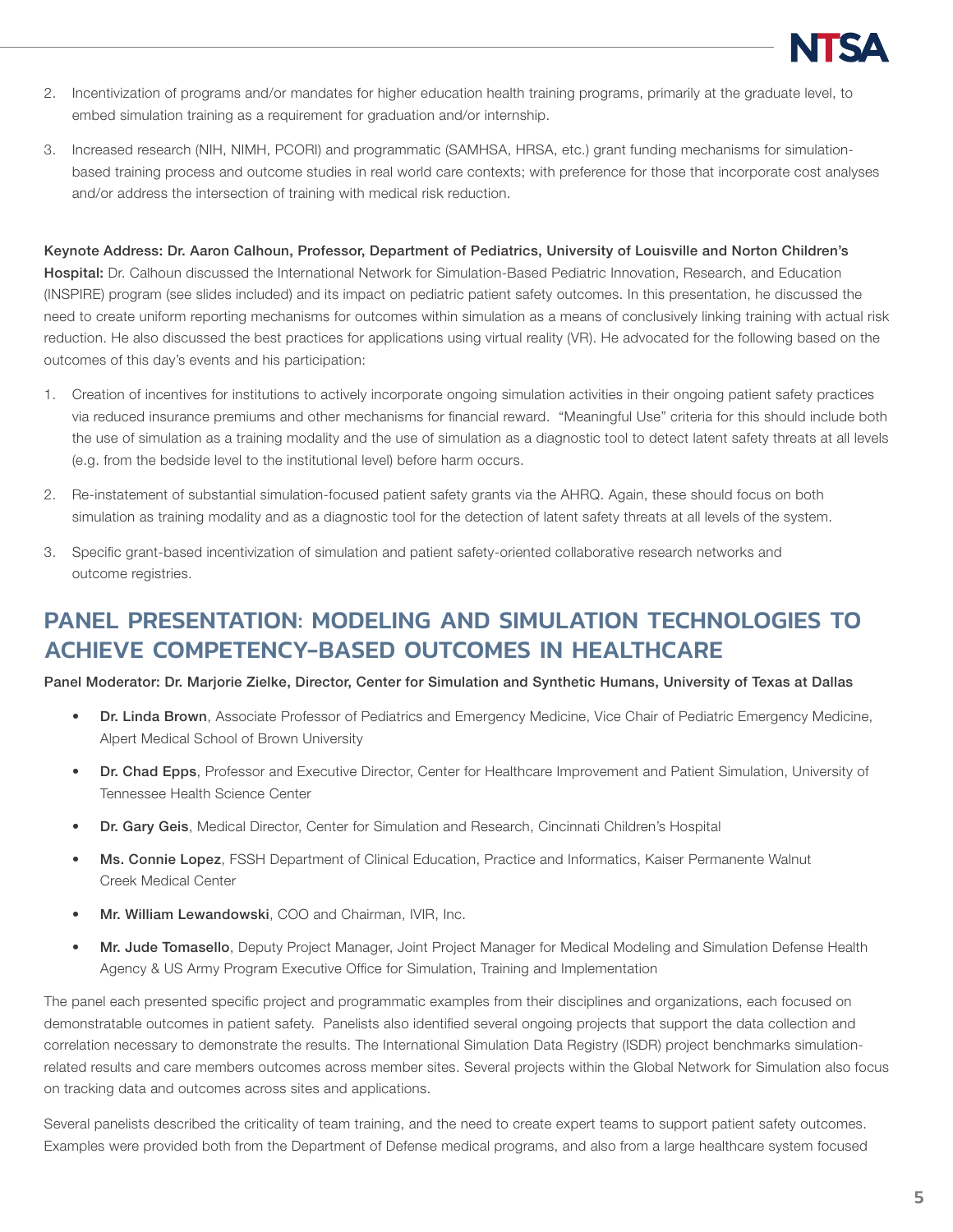

- 2. Incentivization of programs and/or mandates for higher education health training programs, primarily at the graduate level, to embed simulation training as a requirement for graduation and/or internship.
- 3. Increased research (NIH, NIMH, PCORI) and programmatic (SAMHSA, HRSA, etc.) grant funding mechanisms for simulationbased training process and outcome studies in real world care contexts; with preference for those that incorporate cost analyses and/or address the intersection of training with medical risk reduction.

#### Keynote Address: Dr. Aaron Calhoun, Professor, Department of Pediatrics, University of Louisville and Norton Children's

Hospital: Dr. Calhoun discussed the International Network for Simulation-Based Pediatric Innovation, Research, and Education (INSPIRE) program (see slides included) and its impact on pediatric patient safety outcomes. In this presentation, he discussed the need to create uniform reporting mechanisms for outcomes within simulation as a means of conclusively linking training with actual risk reduction. He also discussed the best practices for applications using virtual reality (VR). He advocated for the following based on the outcomes of this day's events and his participation:

- 1. Creation of incentives for institutions to actively incorporate ongoing simulation activities in their ongoing patient safety practices via reduced insurance premiums and other mechanisms for financial reward. "Meaningful Use" criteria for this should include both the use of simulation as a training modality and the use of simulation as a diagnostic tool to detect latent safety threats at all levels (e.g. from the bedside level to the institutional level) before harm occurs.
- 2. Re-instatement of substantial simulation-focused patient safety grants via the AHRQ. Again, these should focus on both simulation as training modality and as a diagnostic tool for the detection of latent safety threats at all levels of the system.
- 3. Specific grant-based incentivization of simulation and patient safety-oriented collaborative research networks and outcome registries.

# PANEL PRESENTATION: MODELING AND SIMULATION TECHNOLOGIES TO ACHIEVE COMPETENCY-BASED OUTCOMES IN HEALTHCARE

#### Panel Moderator: Dr. Marjorie Zielke, Director, Center for Simulation and Synthetic Humans, University of Texas at Dallas

- **Dr. Linda Brown**, Associate Professor of Pediatrics and Emergency Medicine, Vice Chair of Pediatric Emergency Medicine, Alpert Medical School of Brown University
- Dr. Chad Epps, Professor and Executive Director, Center for Healthcare Improvement and Patient Simulation, University of Tennessee Health Science Center
- Dr. Gary Geis, Medical Director, Center for Simulation and Research, Cincinnati Children's Hospital
- Ms. Connie Lopez, FSSH Department of Clinical Education, Practice and Informatics, Kaiser Permanente Walnut Creek Medical Center
- Mr. William Lewandowski, COO and Chairman, IVIR, Inc.
- Mr. Jude Tomasello, Deputy Project Manager, Joint Project Manager for Medical Modeling and Simulation Defense Health Agency & US Army Program Executive Office for Simulation, Training and Implementation

The panel each presented specific project and programmatic examples from their disciplines and organizations, each focused on demonstratable outcomes in patient safety. Panelists also identified several ongoing projects that support the data collection and correlation necessary to demonstrate the results. The International Simulation Data Registry (ISDR) project benchmarks simulationrelated results and care members outcomes across member sites. Several projects within the Global Network for Simulation also focus on tracking data and outcomes across sites and applications.

Several panelists described the criticality of team training, and the need to create expert teams to support patient safety outcomes. Examples were provided both from the Department of Defense medical programs, and also from a large healthcare system focused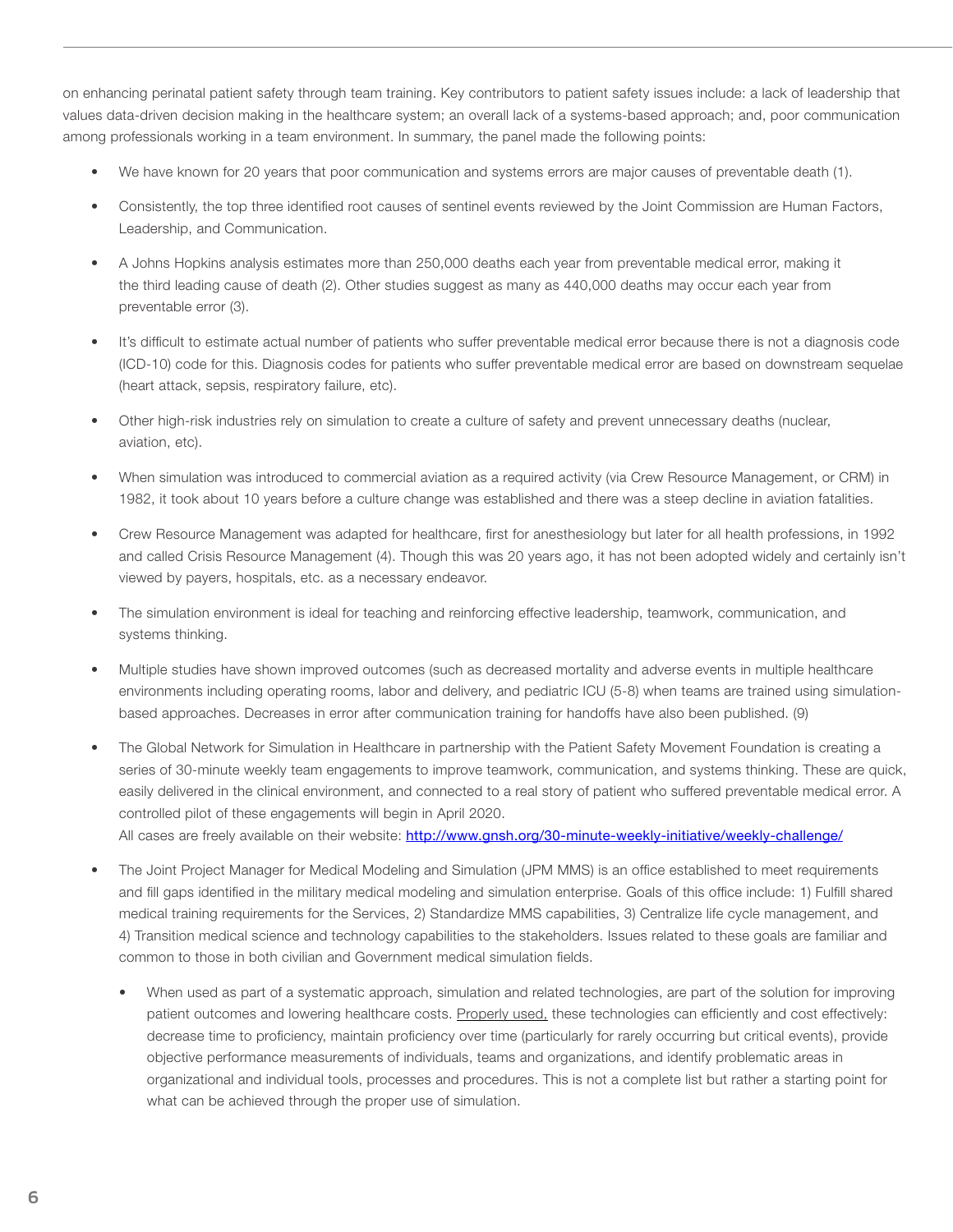on enhancing perinatal patient safety through team training. Key contributors to patient safety issues include: a lack of leadership that values data-driven decision making in the healthcare system; an overall lack of a systems-based approach; and, poor communication among professionals working in a team environment. In summary, the panel made the following points:

- We have known for 20 years that poor communication and systems errors are major causes of preventable death (1).
- Consistently, the top three identified root causes of sentinel events reviewed by the Joint Commission are Human Factors, Leadership, and Communication.
- A Johns Hopkins analysis estimates more than 250,000 deaths each year from preventable medical error, making it the third leading cause of death (2). Other studies suggest as many as 440,000 deaths may occur each year from preventable error (3).
- It's difficult to estimate actual number of patients who suffer preventable medical error because there is not a diagnosis code (ICD-10) code for this. Diagnosis codes for patients who suffer preventable medical error are based on downstream sequelae (heart attack, sepsis, respiratory failure, etc).
- Other high-risk industries rely on simulation to create a culture of safety and prevent unnecessary deaths (nuclear, aviation, etc).
- When simulation was introduced to commercial aviation as a required activity (via Crew Resource Management, or CRM) in 1982, it took about 10 years before a culture change was established and there was a steep decline in aviation fatalities.
- Crew Resource Management was adapted for healthcare, first for anesthesiology but later for all health professions, in 1992 and called Crisis Resource Management (4). Though this was 20 years ago, it has not been adopted widely and certainly isn't viewed by payers, hospitals, etc. as a necessary endeavor.
- The simulation environment is ideal for teaching and reinforcing effective leadership, teamwork, communication, and systems thinking.
- Multiple studies have shown improved outcomes (such as decreased mortality and adverse events in multiple healthcare environments including operating rooms, labor and delivery, and pediatric ICU (5-8) when teams are trained using simulationbased approaches. Decreases in error after communication training for handoffs have also been published. (9)
- The Global Network for Simulation in Healthcare in partnership with the Patient Safety Movement Foundation is creating a series of 30-minute weekly team engagements to improve teamwork, communication, and systems thinking. These are quick, easily delivered in the clinical environment, and connected to a real story of patient who suffered preventable medical error. A controlled pilot of these engagements will begin in April 2020. All cases are freely available on their website: http://www.gnsh.org/30-minute-weekly-initiative/weekly-challenge/
- The Joint Project Manager for Medical Modeling and Simulation (JPM MMS) is an office established to meet requirements and fill gaps identified in the military medical modeling and simulation enterprise. Goals of this office include: 1) Fulfill shared medical training requirements for the Services, 2) Standardize MMS capabilities, 3) Centralize life cycle management, and
	- 4) Transition medical science and technology capabilities to the stakeholders. Issues related to these goals are familiar and common to those in both civilian and Government medical simulation fields.
		- When used as part of a systematic approach, simulation and related technologies, are part of the solution for improving patient outcomes and lowering healthcare costs. Properly used, these technologies can efficiently and cost effectively: decrease time to proficiency, maintain proficiency over time (particularly for rarely occurring but critical events), provide objective performance measurements of individuals, teams and organizations, and identify problematic areas in organizational and individual tools, processes and procedures. This is not a complete list but rather a starting point for what can be achieved through the proper use of simulation.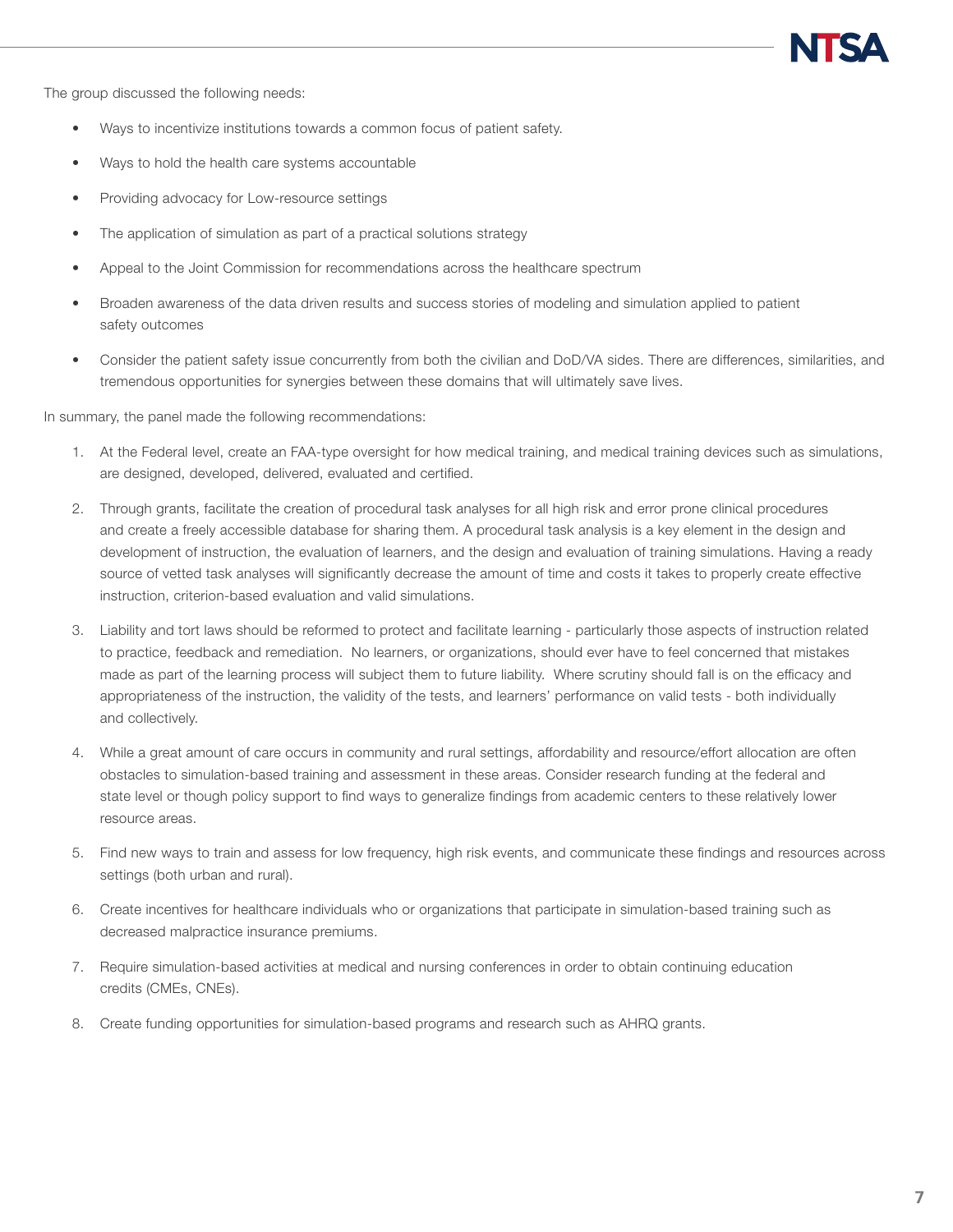The group discussed the following needs:

- Ways to incentivize institutions towards a common focus of patient safety.
- Ways to hold the health care systems accountable
- Providing advocacy for Low-resource settings
- The application of simulation as part of a practical solutions strategy
- Appeal to the Joint Commission for recommendations across the healthcare spectrum
- Broaden awareness of the data driven results and success stories of modeling and simulation applied to patient safety outcomes
- Consider the patient safety issue concurrently from both the civilian and DoD/VA sides. There are differences, similarities, and tremendous opportunities for synergies between these domains that will ultimately save lives.

In summary, the panel made the following recommendations:

- 1. At the Federal level, create an FAA-type oversight for how medical training, and medical training devices such as simulations, are designed, developed, delivered, evaluated and certified.
- 2. Through grants, facilitate the creation of procedural task analyses for all high risk and error prone clinical procedures and create a freely accessible database for sharing them. A procedural task analysis is a key element in the design and development of instruction, the evaluation of learners, and the design and evaluation of training simulations. Having a ready source of vetted task analyses will significantly decrease the amount of time and costs it takes to properly create effective instruction, criterion-based evaluation and valid simulations.
- 3. Liability and tort laws should be reformed to protect and facilitate learning particularly those aspects of instruction related to practice, feedback and remediation. No learners, or organizations, should ever have to feel concerned that mistakes made as part of the learning process will subject them to future liability. Where scrutiny should fall is on the efficacy and appropriateness of the instruction, the validity of the tests, and learners' performance on valid tests - both individually and collectively.
- 4. While a great amount of care occurs in community and rural settings, affordability and resource/effort allocation are often obstacles to simulation-based training and assessment in these areas. Consider research funding at the federal and state level or though policy support to find ways to generalize findings from academic centers to these relatively lower resource areas.
- 5. Find new ways to train and assess for low frequency, high risk events, and communicate these findings and resources across settings (both urban and rural).
- 6. Create incentives for healthcare individuals who or organizations that participate in simulation-based training such as decreased malpractice insurance premiums.
- 7. Require simulation-based activities at medical and nursing conferences in order to obtain continuing education credits (CMEs, CNEs).
- 8. Create funding opportunities for simulation-based programs and research such as AHRQ grants.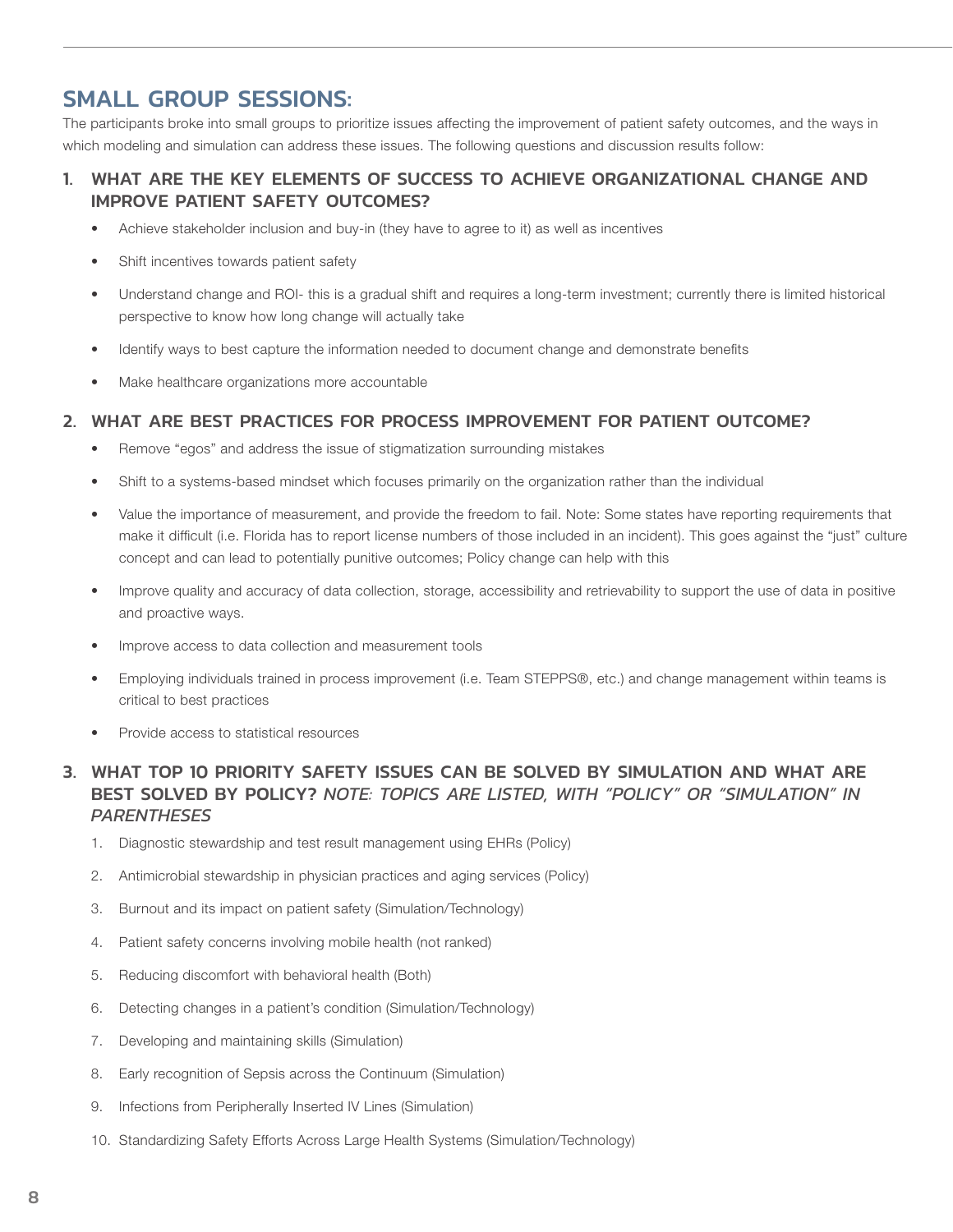# SMALL GROUP SESSIONS:

The participants broke into small groups to prioritize issues affecting the improvement of patient safety outcomes, and the ways in which modeling and simulation can address these issues. The following questions and discussion results follow:

### 1. WHAT ARE THE KEY ELEMENTS OF SUCCESS TO ACHIEVE ORGANIZATIONAL CHANGE AND IMPROVE PATIENT SAFETY OUTCOMES?

- Achieve stakeholder inclusion and buy-in (they have to agree to it) as well as incentives
- Shift incentives towards patient safety
- Understand change and ROI- this is a gradual shift and requires a long-term investment; currently there is limited historical perspective to know how long change will actually take
- Identify ways to best capture the information needed to document change and demonstrate benefits
- Make healthcare organizations more accountable

#### 2. WHAT ARE BEST PRACTICES FOR PROCESS IMPROVEMENT FOR PATIENT OUTCOME?

- Remove "egos" and address the issue of stigmatization surrounding mistakes
- Shift to a systems-based mindset which focuses primarily on the organization rather than the individual
- Value the importance of measurement, and provide the freedom to fail. Note: Some states have reporting requirements that make it difficult (i.e. Florida has to report license numbers of those included in an incident). This goes against the "just" culture concept and can lead to potentially punitive outcomes; Policy change can help with this
- Improve quality and accuracy of data collection, storage, accessibility and retrievability to support the use of data in positive and proactive ways.
- Improve access to data collection and measurement tools
- Employing individuals trained in process improvement (i.e. Team STEPPS®, etc.) and change management within teams is critical to best practices
- Provide access to statistical resources

### 3. WHAT TOP 10 PRIORITY SAFETY ISSUES CAN BE SOLVED BY SIMULATION AND WHAT ARE BEST SOLVED BY POLICY? *NOTE: TOPICS ARE LISTED, WITH "POLICY" OR "SIMULATION" IN PARENTHESES*

- 1. Diagnostic stewardship and test result management using EHRs (Policy)
- 2. Antimicrobial stewardship in physician practices and aging services (Policy)
- 3. Burnout and its impact on patient safety (Simulation/Technology)
- 4. Patient safety concerns involving mobile health (not ranked)
- 5. Reducing discomfort with behavioral health (Both)
- 6. Detecting changes in a patient's condition (Simulation/Technology)
- 7. Developing and maintaining skills (Simulation)
- 8. Early recognition of Sepsis across the Continuum (Simulation)
- 9. Infections from Peripherally Inserted IV Lines (Simulation)
- 10. Standardizing Safety Efforts Across Large Health Systems (Simulation/Technology)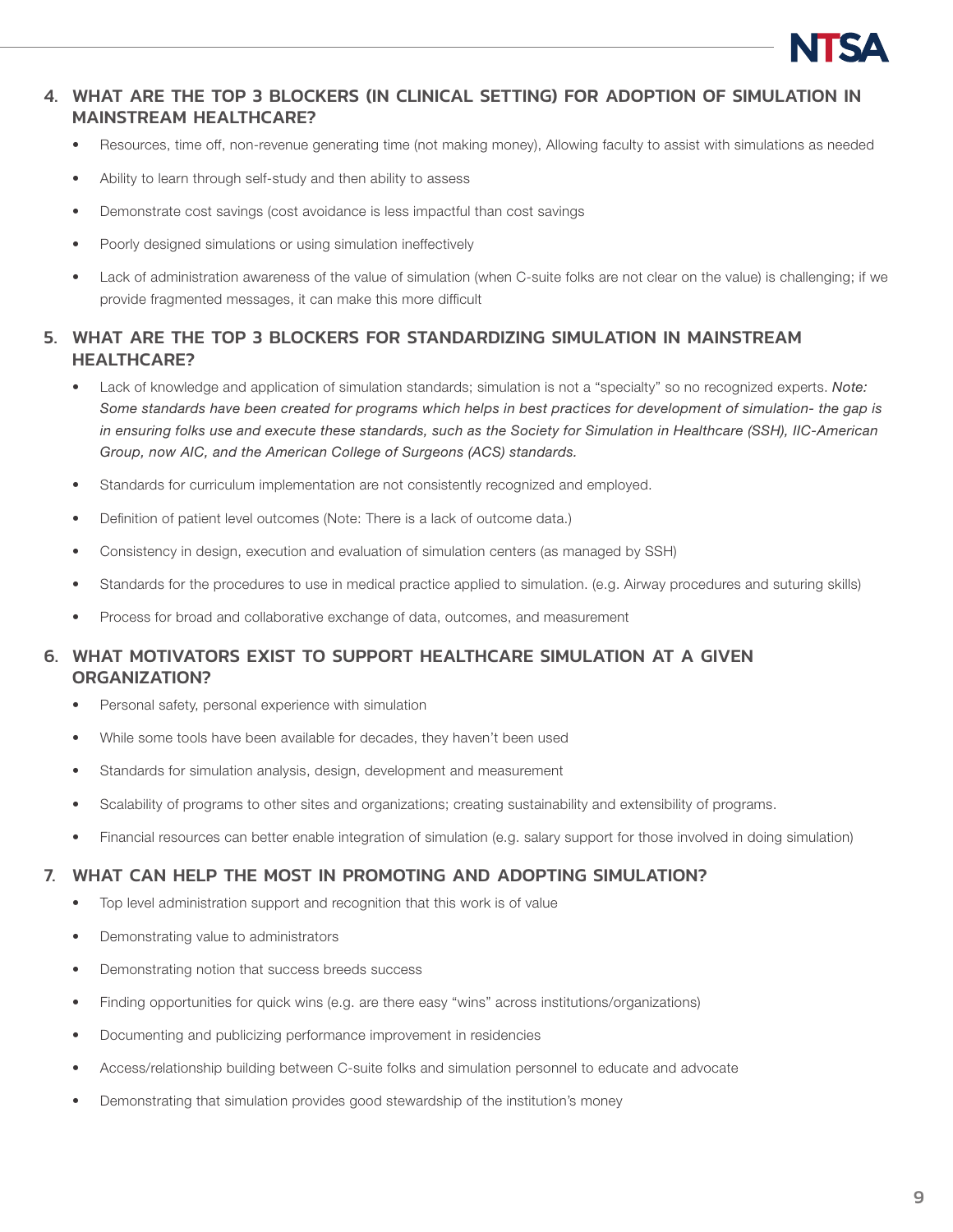

### 4. WHAT ARE THE TOP 3 BLOCKERS (IN CLINICAL SETTING) FOR ADOPTION OF SIMULATION IN MAINSTREAM HEALTHCARE?

- Resources, time off, non-revenue generating time (not making money), Allowing faculty to assist with simulations as needed
- Ability to learn through self-study and then ability to assess
- Demonstrate cost savings (cost avoidance is less impactful than cost savings
- Poorly designed simulations or using simulation ineffectively
- Lack of administration awareness of the value of simulation (when C-suite folks are not clear on the value) is challenging; if we provide fragmented messages, it can make this more difficult

### 5. WHAT ARE THE TOP 3 BLOCKERS FOR STANDARDIZING SIMULATION IN MAINSTREAM HEALTHCARE?

- Lack of knowledge and application of simulation standards; simulation is not a "specialty" so no recognized experts. *Note: Some standards have been created for programs which helps in best practices for development of simulation- the gap is in ensuring folks use and execute these standards, such as the Society for Simulation in Healthcare (SSH), IIC-American Group, now AIC, and the American College of Surgeons (ACS) standards.*
- Standards for curriculum implementation are not consistently recognized and employed.
- Definition of patient level outcomes (Note: There is a lack of outcome data.)
- Consistency in design, execution and evaluation of simulation centers (as managed by SSH)
- Standards for the procedures to use in medical practice applied to simulation. (e.g. Airway procedures and suturing skills)
- Process for broad and collaborative exchange of data, outcomes, and measurement

### 6. WHAT MOTIVATORS EXIST TO SUPPORT HEALTHCARE SIMULATION AT A GIVEN ORGANIZATION?

- Personal safety, personal experience with simulation
- While some tools have been available for decades, they haven't been used
- Standards for simulation analysis, design, development and measurement
- Scalability of programs to other sites and organizations; creating sustainability and extensibility of programs.
- Financial resources can better enable integration of simulation (e.g. salary support for those involved in doing simulation)

### 7. WHAT CAN HELP THE MOST IN PROMOTING AND ADOPTING SIMULATION?

- Top level administration support and recognition that this work is of value
- Demonstrating value to administrators
- Demonstrating notion that success breeds success
- Finding opportunities for quick wins (e.g. are there easy "wins" across institutions/organizations)
- Documenting and publicizing performance improvement in residencies
- Access/relationship building between C-suite folks and simulation personnel to educate and advocate
- Demonstrating that simulation provides good stewardship of the institution's money